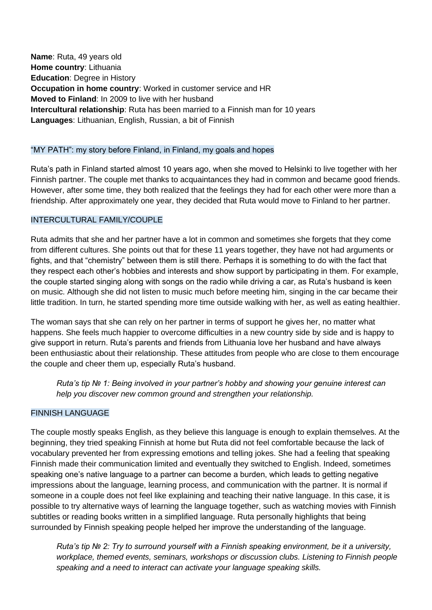**Name**: Ruta, 49 years old **Home country**: Lithuania **Education**: Degree in History **Occupation in home country**: Worked in customer service and HR **Moved to Finland**: In 2009 to live with her husband **Intercultural relationship**: Ruta has been married to a Finnish man for 10 years **Languages**: Lithuanian, English, Russian, a bit of Finnish

### "MY PATH": my story before Finland, in Finland, my goals and hopes

Ruta's path in Finland started almost 10 years ago, when she moved to Helsinki to live together with her Finnish partner. The couple met thanks to acquaintances they had in common and became good friends. However, after some time, they both realized that the feelings they had for each other were more than a friendship. After approximately one year, they decided that Ruta would move to Finland to her partner.

# INTERCULTURAL FAMILY/COUPLE

Ruta admits that she and her partner have a lot in common and sometimes she forgets that they come from different cultures. She points out that for these 11 years together, they have not had arguments or fights, and that "chemistry" between them is still there. Perhaps it is something to do with the fact that they respect each other's hobbies and interests and show support by participating in them. For example, the couple started singing along with songs on the radio while driving a car, as Ruta's husband is keen on music. Although she did not listen to music much before meeting him, singing in the car became their little tradition. In turn, he started spending more time outside walking with her, as well as eating healthier.

The woman says that she can rely on her partner in terms of support he gives her, no matter what happens. She feels much happier to overcome difficulties in a new country side by side and is happy to give support in return. Ruta's parents and friends from Lithuania love her husband and have always been enthusiastic about their relationship. These attitudes from people who are close to them encourage the couple and cheer them up, especially Ruta's husband.

*Ruta's tip № 1: Being involved in your partner's hobby and showing your genuine interest can help you discover new common ground and strengthen your relationship.* 

#### FINNISH LANGUAGE

The couple mostly speaks English, as they believe this language is enough to explain themselves. At the beginning, they tried speaking Finnish at home but Ruta did not feel comfortable because the lack of vocabulary prevented her from expressing emotions and telling jokes. She had a feeling that speaking Finnish made their communication limited and eventually they switched to English. Indeed, sometimes speaking one's native language to a partner can become a burden, which leads to getting negative impressions about the language, learning process, and communication with the partner. It is normal if someone in a couple does not feel like explaining and teaching their native language. In this case, it is possible to try alternative ways of learning the language together, such as watching movies with Finnish subtitles or reading books written in a simplified language. Ruta personally highlights that being surrounded by Finnish speaking people helped her improve the understanding of the language.

*Ruta's tip № 2: Try to surround yourself with a Finnish speaking environment, be it a university, workplace, themed events, seminars, workshops or discussion clubs. Listening to Finnish people speaking and a need to interact can activate your language speaking skills.*